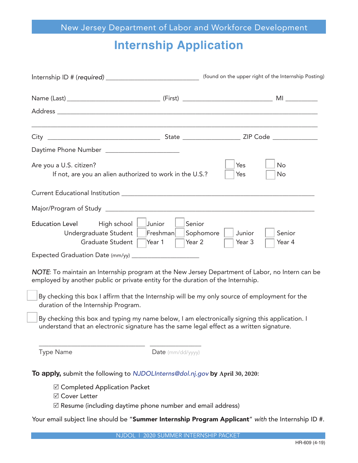# **Internship Application**

| (found on the upper right of the Internship Posting)                                                                                                                |                                           |                  |                  |  |
|---------------------------------------------------------------------------------------------------------------------------------------------------------------------|-------------------------------------------|------------------|------------------|--|
|                                                                                                                                                                     |                                           |                  |                  |  |
|                                                                                                                                                                     |                                           |                  |                  |  |
|                                                                                                                                                                     |                                           |                  |                  |  |
| Daytime Phone Number _______________________                                                                                                                        |                                           |                  |                  |  |
| Are you a U.S. citizen?<br>If not, are you an alien authorized to work in the U.S.?                                                                                 |                                           | Yes<br>Yes       | No<br>No         |  |
|                                                                                                                                                                     |                                           |                  |                  |  |
|                                                                                                                                                                     |                                           |                  |                  |  |
| High school<br>Junior<br><b>Education Level</b><br>Undergraduate Student<br>Graduate Student<br>Year 1<br>Expected Graduation Date (mm/yy) ________________________ | Senior<br>Freshman<br>Sophomore<br>Year 2 | Junior<br>Year 3 | Senior<br>Year 4 |  |

NOTE: To maintain an Internship program at the New Jersey Department of Labor, no Intern can be employed by another public or private entity for the duration of the Internship.

By checking this box I affirm that the Internship will be my only source of employment for the duration of the Internship Program.

By checking this box and typing my name below, I am electronically signing this application. I understand that an electronic signature has the same legal effect as a written signature.

Type Name **Date** (mm/dd/yyyy)

**To apply,** submit the following to NJDOLI*nterns@dol.nj.gov* **by April 30, 2020**:

 $\boxtimes$  Completed Application Packet

 $\overline{\phantom{a}}$  , and the set of the set of the set of the set of the set of the set of the set of the set of the set of the set of the set of the set of the set of the set of the set of the set of the set of the set of the s

**Ø** Cover Letter

 $\boxtimes$  Resume (including daytime phone number and email address)

Your email subject line should be "Summer Internship Program Applicant" with the Internship ID #.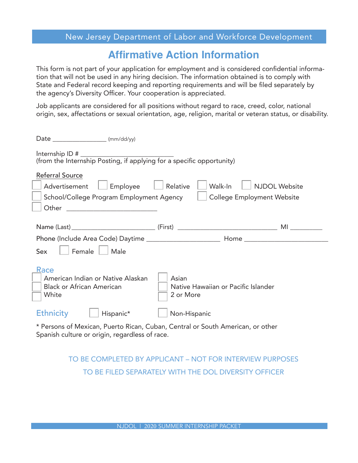#### New Jersey Department of Labor and Workforce Development

## **Affirmative Action Information**

This form is not part of your application for employment and is considered confidential information that will not be used in any hiring decision. The information obtained is to comply with State and Federal record keeping and reporting requirements and will be filed separately by the agency's Diversity Officer. Your cooperation is appreciated.

Job applicants are considered for all positions without regard to race, creed, color, national origin, sex, affectations or sexual orientation, age, religion, marital or veteran status, or disability.

| Date _____________________ (mm/dd/yy)                                                                                            |                     |                      |  |  |
|----------------------------------------------------------------------------------------------------------------------------------|---------------------|----------------------|--|--|
|                                                                                                                                  |                     |                      |  |  |
| <b>Referral Source</b>                                                                                                           |                     |                      |  |  |
| Employee<br>Advertisement                                                                                                        | Relative<br>Walk-In | <b>NJDOL Website</b> |  |  |
| School/College Program Employment Agency<br><b>College Employment Website</b>                                                    |                     |                      |  |  |
| Other                                                                                                                            |                     |                      |  |  |
|                                                                                                                                  |                     |                      |  |  |
|                                                                                                                                  |                     |                      |  |  |
|                                                                                                                                  |                     |                      |  |  |
| Female<br>Male<br>Sex                                                                                                            |                     |                      |  |  |
| <b>Race</b>                                                                                                                      |                     |                      |  |  |
| American Indian or Native Alaskan                                                                                                | Asian               |                      |  |  |
| <b>Black or African American</b><br>Native Hawaiian or Pacific Islander                                                          |                     |                      |  |  |
| White                                                                                                                            | 2 or More           |                      |  |  |
| <b>Ethnicity</b><br>Hispanic*                                                                                                    | Non-Hispanic        |                      |  |  |
| * Persons of Mexican, Puerto Rican, Cuban, Central or South American, or other<br>Spanish culture or origin, regardless of race. |                     |                      |  |  |

## TO BE COMPLETED BY APPLICANT – NOT FOR INTERVIEW PURPOSES TO BE FILED SEPARATELY WITH THE DOL DIVERSITY OFFICER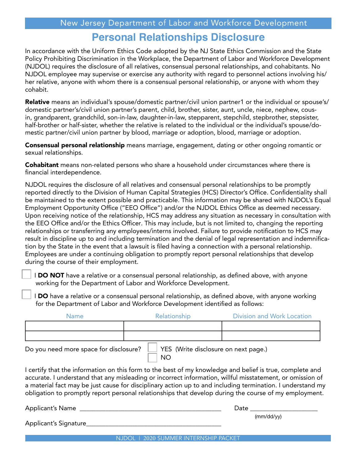#### **Personal Relationships Disclosure**

In accordance with the Uniform Ethics Code adopted by the NJ State Ethics Commission and the State Policy Prohibiting Discrimination in the Workplace, the Department of Labor and Workforce Development (NJDOL) requires the disclosure of all relatives, consensual personal relationships, and cohabitants. No NJDOL employee may supervise or exercise any authority with regard to personnel actions involving his/ her relative, anyone with whom there is a consensual personal relationship, or anyone with whom they cohabit.

Relative means an individual's spouse/domestic partner/civil union partner1 or the individual or spouse's/ domestic partner's/civil union partner's parent, child, brother, sister, aunt, uncle, niece, nephew, cousin, grandparent, grandchild, son-in-law, daughter-in-law, stepparent, stepchild, stepbrother, stepsister, half-brother or half-sister, whether the relative is related to the individual or the individual's spouse/domestic partner/civil union partner by blood, marriage or adoption, blood, marriage or adoption.

**Consensual personal relationship** means marriage, engagement, dating or other ongoing romantic or sexual relationships.

**Cohabitant** means non-related persons who share a household under circumstances where there is financial interdependence.

NJDOL requires the disclosure of all relatives and consensual personal relationships to be promptly reported directly to the Division of Human Capital Strategies (HCS) Director's Office. Confidentiality shall be maintained to the extent possible and practicable. This information may be shared with NJDOL's Equal Employment Opportunity Office ("EEO Office") and/or the NJDOL Ethics Office as deemed necessary. Upon receiving notice of the relationship, HCS may address any situation as necessary in consultation with the EEO Office and/or the Ethics Officer. This may include, but is not limited to, changing the reporting relationships or transferring any employees/interns involved. Failure to provide notification to HCS may result in discipline up to and including termination and the denial of legal representation and indemnification by the State in the event that a lawsuit is filed having a connection with a personal relationship. Employees are under a continuing obligation to promptly report personal relationships that develop during the course of their employment.

I DO NOT have a relative or a consensual personal relationship, as defined above, with anyone working for the Department of Labor and Workforce Development.

I DO have a relative or a consensual personal relationship, as defined above, with anyone working for the Department of Labor and Workforce Development identified as follows:

| <b>Name</b>                   | Relationship | Division and Work Location |
|-------------------------------|--------------|----------------------------|
|                               |              |                            |
|                               |              |                            |
| $\overline{\phantom{0}}$<br>. | $\sim$       |                            |

NO<sub>1</sub>

Do you need more space for disclosure?  $\Box$  YES (Write disclosure on next page.)

I certify that the information on this form to the best of my knowledge and belief is true, complete and accurate. I understand that any misleading or incorrect information, willful misstatement, or omission of a material fact may be just cause for disciplinary action up to and including termination. I understand my obligation to promptly report personal relationships that develop during the course of my employment.

Applicant's Name \_\_\_\_\_\_\_\_\_\_\_\_\_\_\_\_\_\_\_\_\_\_\_\_\_\_\_\_\_\_\_\_\_\_\_\_\_\_\_\_\_\_\_\_ Date \_\_\_\_\_\_\_\_\_\_\_\_\_\_\_\_\_\_\_\_\_

(mm/dd/yy)

Applicant's Signature\_\_\_\_\_\_\_\_\_\_\_\_\_\_\_\_\_\_\_\_\_\_\_\_\_\_\_\_\_\_\_\_\_\_\_\_\_\_\_\_\_\_

NJDOL | 2020 SUMMER INTERNSHIP PACKET